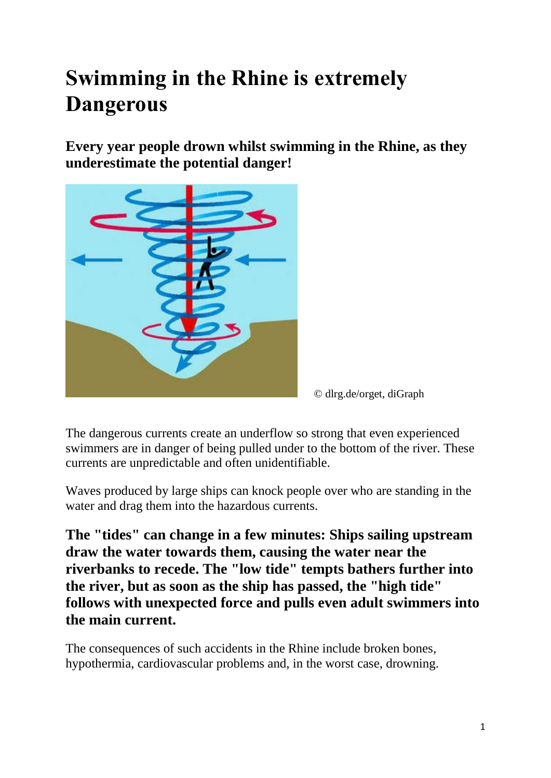# **Swimming in the Rhine is extremely Dangerous**

**Every year people drown whilst swimming in the Rhine, as they underestimate the potential danger!**



© dlrg.de/orget, diGraph

The dangerous currents create an underflow so strong that even experienced swimmers are in danger of being pulled under to the bottom of the river. These currents are unpredictable and often unidentifiable.

Waves produced by large ships can knock people over who are standing in the water and drag them into the hazardous currents.

**The "tides" can change in a few minutes: Ships sailing upstream draw the water towards them, causing the water near the riverbanks to recede. The "low tide" tempts bathers further into the river, but as soon as the ship has passed, the "high tide" follows with unexpected force and pulls even adult swimmers into the main current.** 

The consequences of such accidents in the Rhine include broken bones, hypothermia, cardiovascular problems and, in the worst case, drowning.